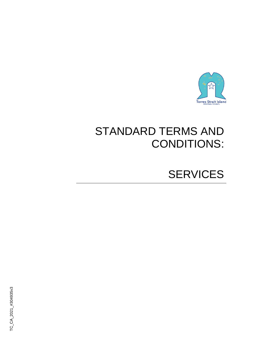

# STANDARD TERMS AND CONDITIONS:

# SERVICES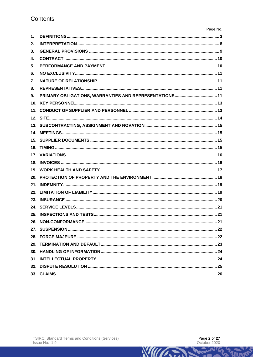| $\mathbf{1}$ . |  |
|----------------|--|
| 2.             |  |
| 3.             |  |
| 4.             |  |
| 5.             |  |
| 6.             |  |
| 7.             |  |
| 8.             |  |
| 9.             |  |
|                |  |
|                |  |
|                |  |
|                |  |
|                |  |
|                |  |
|                |  |
|                |  |
|                |  |
|                |  |
|                |  |
|                |  |
|                |  |
|                |  |
|                |  |
|                |  |
|                |  |
|                |  |
|                |  |
|                |  |
|                |  |
|                |  |
|                |  |
|                |  |

**RATIFICATION**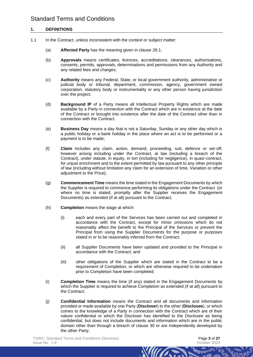## **1. DEFINITIONS**

- 1.1 In the Contract, unless inconsistent with the context or subject matter:
	- (a) **Affected Party** has the meaning given in clause [28.1;](#page-21-0)
	- (b) **Approvals** means certificates, licences, accreditations, clearances, authorisations, consents, permits, approvals, determinations and permissions from any Authority and any related fees and charges;
	- (c) **Authority** means any Federal, State, or local government authority, administrative or judicial body or tribunal, department, commission, agency, government owned corporation, statutory body or instrumentality or any other person having jurisdiction over the project;
	- (d) **Background IP** of a Party means all Intellectual Property Rights which are made available by a Party in connection with the Contract which are in existence at the date of the Contract or brought into existence after the date of the Contract other than in connection with the Contract.
	- (e) **Business Day** means a day that is not a Saturday, Sunday or any other day which is a public holiday or a bank holiday in the place where an act is to be performed or a payment is to be made;
	- (f) **Claim** includes any claim, action, demand, proceeding, suit, defence or set-off, however arising including under the Contract, at law (including a breach of the Contract), under statute, in equity, in tort (including for negligence), in quasi-contract, for unjust enrichment and to the extent permitted by law pursuant to any other principle of law (including without limitation any claim for an extension of time, Variation or other adjustment to the Price);
	- (g) **Commencement Time** means the time stated in the Engagement Documents by which the Supplier is required to commence performing its obligations under the Contract (or where no time is stated, promptly after the Supplier receives the Engagement Documents) as extended (if at all) pursuant to the Contract;
	- (h) **Completion** means the stage at which:
		- (i) each and every part of the Services has been carried out and completed in accordance with the Contract, except for minor omissions which do not reasonably affect the benefit to the Principal of the Services or prevent the Principal from using the Supplier Documents for the purpose or purposes stated in or to be reasonably inferred from the Contract;
		- (ii) all Supplier Documents have been updated and provided to the Principal in accordance with the Contract; and
		- (iii) other obligations of the Supplier which are stated in the Contract to be a requirement of Completion, or which are otherwise required to be undertaken prior to Completion have been completed;
	- (i) **Completion Time** means the time (if any) stated in the Engagement Documents by which the Supplier is required to achieve Completion as extended (if at all) pursuant to the Contract;
	- (j) **Confidential Information** means the Contract and all documents and information provided or made available by one Party (**Discloser**) to the other (**Disclosee**), or which comes to the knowledge of a Party in connection with the Contract which are of their nature confidential or which the Discloser has identified to the Disclosee as being confidential, but does not include documents and information which are in the public domain other than through a breach of clause [30](#page-23-0) or are independently developed by the other Party;

<span id="page-2-0"></span>**WIII**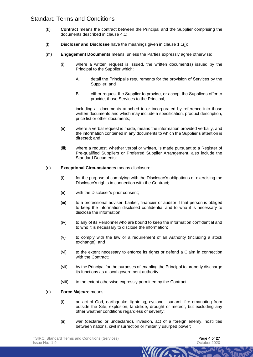- (k) **Contract** means the contract between the Principal and the Supplier comprising the documents described in clause [4.1;](#page-9-0)
- (l) **Discloser and Disclosee** have the meanings given in clause [1.1\(j\);](#page-2-0)
- (m) **Engagement Documents** means, unless the Parties expressly agree otherwise:
	- (i) where a written request is issued, the written document(s) issued by the Principal to the Supplier which:
		- A. detail the Principal's requirements for the provision of Services by the Supplier; and
		- B. either request the Supplier to provide, or accept the Supplier's offer to provide, those Services to the Principal,

including all documents attached to or incorporated by reference into those written documents and which may include a specification, product description, price list or other documents;

- (ii) where a verbal request is made, means the information provided verbally, and the information contained in any documents to which the Supplier's attention is directed; and
- (iii) where a request, whether verbal or written, is made pursuant to a Register of Pre-qualified Suppliers or Preferred Supplier Arrangement, also include the Standard Documents;
- (n) **Exceptional Circumstances** means disclosure:
	- (i) for the purpose of complying with the Disclosee's obligations or exercising the Disclosee's rights in connection with the Contract;
	- (ii) with the Discloser's prior consent;
	- (iii) to a professional adviser, banker, financier or auditor if that person is obliged to keep the information disclosed confidential and to who it is necessary to disclose the information;
	- (iv) to any of its Personnel who are bound to keep the information confidential and to who it is necessary to disclose the information;
	- (v) to comply with the law or a requirement of an Authority (including a stock exchange); and
	- (vi) to the extent necessary to enforce its rights or defend a Claim in connection with the Contract;
	- (vii) by the Principal for the purposes of enabling the Principal to properly discharge its functions as a local government authority;
	- (viii) to the extent otherwise expressly permitted by the Contract;
- (o) **Force Majeure** means:
	- (i) an act of God, earthquake, lightning, cyclone, tsunami, fire emanating from outside the Site, explosion, landslide, drought or meteor, but excluding any other weather conditions regardless of severity;
	- (ii) war (declared or undeclared), invasion, act of a foreign enemy, hostilities between nations, civil insurrection or militarily usurped power;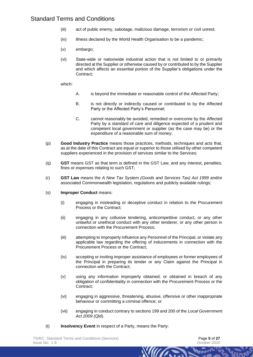- (iii) act of public enemy, sabotage, malicious damage, terrorism or civil unrest;
- (iv) illness declared by the World Health Organisation to be a pandemic;
- (v) embargo;
- (vi) State-wide or nationwide industrial action that is not limited to or primarily directed at the Supplier or otherwise caused by or contributed to by the Supplier and which affects an essential portion of the Supplier's obligations under the Contract;

which:

- A. is beyond the immediate or reasonable control of the Affected Party;
- B. is not directly or indirectly caused or contributed to by the Affected Party or the Affected Party's Personnel;
- C. cannot reasonably be avoided, remedied or overcome by the Affected Party by a standard of care and diligence expected of a prudent and competent local government or supplier (as the case may be) or the expenditure of a reasonable sum of money;
- (p) **Good Industry Practice** means those practices, methods, techniques and acts that, as at the date of this Contract are equal or superior to those utilised by other competent suppliers experienced in the provision of services similar to the Services;
- (q) **GST** means GST as that term is defined in the GST Law, and any interest, penalties, fines or expenses relating to such GST;
- (r) **GST Law** means the *A New Tax System (Goods and Services Tax) Act 1999* and/or associated Commonwealth legislation, regulations and publicly available rulings;
- (s) **Improper Conduct** means:
	- (i) engaging in misleading or deceptive conduct in relation to the Procurement Process or the Contract;
	- (ii) engaging in any collusive tendering, anticompetitive conduct, or any other unlawful or unethical conduct with any other tenderer, or any other person in connection with the Procurement Process;
	- (iii) attempting to improperly influence any Personnel of the Principal, or violate any applicable law regarding the offering of inducements in connection with the Procurement Process or the Contract;
	- (iv) accepting or inviting improper assistance of employees or former employees of the Principal in preparing its tender or any Claim against the Principal in connection with the Contract;
	- (v) using any information improperly obtained, or obtained in breach of any obligation of confidentiality in connection with the Procurement Process or the Contract;
	- (vi) engaging in aggressive, threatening, abusive, offensive or other inappropriate behaviour or committing a criminal offence; or
	- (vii) engaging in conduct contrary to sections 199 and 200 of the *Local Government Act 2009* (Qld).

**WILLIAM** 

(t) **Insolvency Event** in respect of a Party, means the Party: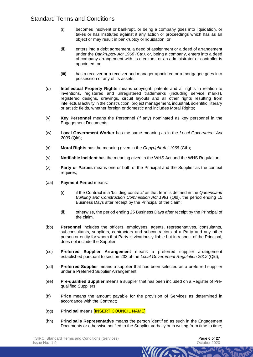- (i) becomes insolvent or bankrupt, or being a company goes into liquidation, or takes or has instituted against it any action or proceedings which has as an object or may result in bankruptcy or liquidation; or
- (ii) enters into a debt agreement, a deed of assignment or a deed of arrangement under the *Bankruptcy Act 1966 (Cth),* or, being a company, enters into a deed of company arrangement with its creditors, or an administrator or controller is appointed; or
- (iii) has a receiver or a receiver and manager appointed or a mortgagee goes into possession of any of its assets;
- (u) **Intellectual Property Rights** means copyright, patents and all rights in relation to inventions, registered and unregistered trademarks (including service marks), registered designs, drawings, circuit layouts and all other rights resulting from intellectual activity in the construction, project management, industrial, scientific, literary or artistic fields, whether foreign or domestic and includes Moral Rights;
- (v) **Key Personnel** means the Personnel (if any) nominated as key personnel in the Engagement Documents;
- (w) **Local Government Worker** has the same meaning as in the *Local Government Act 2009* (Qld);
- (x) **Moral Rights** has the meaning given in the *Copyright Act 1968* (Cth);
- (y) **Notifiable Incident** has the meaning given in the WHS Act and the WHS Regulation;
- (z) **Party or Parties** means one or both of the Principal and the Supplier as the context requires;
- (aa) **Payment Period** means:
	- (i) if the Contract is a 'building contract' as that term is defined in the *Queensland Building and Construction Commission Act 1991* (Qld), the period ending 15 Business Days after receipt by the Principal of the claim;
	- (ii) otherwise, the period ending 25 Business Days after receipt by the Principal of the claim.
- (bb) **Personnel** includes the officers, employees, agents, representatives, consultants, subconsultants, suppliers, contractors and subcontractors of a Party and any other person or entity for whom that Party is vicariously liable but in respect of the Principal, does not include the Supplier;
- (cc) **Preferred Supplier Arrangement** means a preferred supplier arrangement established pursuant to section 233 of the *Local Government Regulation 2012* (Qld);
- (dd) **Preferred Supplier** means a supplier that has been selected as a preferred supplier under a Preferred Supplier Arrangement;
- (ee) **Pre-qualified Supplier** means a supplier that has been included on a Register of Prequalified Suppliers;
- (ff) **Price** means the amount payable for the provision of Services as determined in accordance with the Contract;
- (gg) **Principal** means [INSERT COUNCIL NAME];
- (hh) **Principal's Representative** means the person identified as such in the Engagement Documents or otherwise notified to the Supplier verbally or in writing from time to time;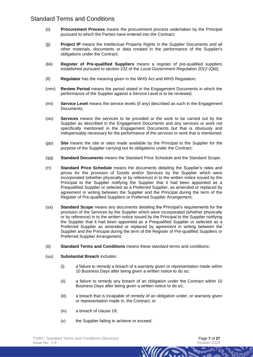- (ii) **Procurement Process** means the procurement process undertaken by the Principal pursuant to which the Parties have entered into the Contract;
- (jj) **Project IP** means the Intellectual Property Rights in the Supplier Documents and all other materials, documents or data created in the performance of the Supplier's obligations under the Contract;
- (kk) **Register of Pre-qualified Suppliers** means a register of pre-qualified suppliers established pursuant to section 232 of the *Local Government Regulation 2012* (Qld);
- (ll) **Regulator** has the meaning given in the WHS Act and WHS Regulation;
- (mm) **Review Period** means the period stated in the Engagement Documents in which the performance of the Supplier against a Service Level is to be reviewed;
- (nn) **Service Level** means the service levels (if any) described as such in the Engagement Documents;
- (oo) **Services** means the services to be provided or the work to be carried out by the Supplier as described in the Engagement Documents and any services or work not specifically mentioned in the Engagement Documents but that is obviously and indispensably necessary for the performance of the services or work that is mentioned;
- (pp) **Site** means the site or sites made available by the Principal to the Supplier for the purpose of the Supplier carrying out its obligations under the Contract;
- (qq) **Standard Documents** means the Standard Price Schedule and the Standard Scope;
- (rr) **Standard Price Schedule** means the documents detailing the Supplier's rates and prices for the provision of Goods and/or Services by the Supplier which were incorporated (whether physically or by reference) in to the written notice issued by the Principal to the Supplier notifying the Supplier that it had been appointed as a Prequalified Supplier or selected as a Preferred Supplier, as amended or replaced by agreement in writing between the Supplier and the Principal during the term of the Register of Pre-qualified Suppliers or Preferred Supplier Arrangement;
- (ss) **Standard Scope** means any documents detailing the Principal's requirements for the provision of the Services by the Supplier which were incorporated (whether physically or by reference) in to the written notice issued by the Principal to the Supplier notifying the Supplier that it had been appointed as a Prequalified Supplier or selected as a Preferred Supplier as amended or replaced by agreement in writing between the Supplier and the Principal during the term of the Register of Pre-qualified Suppliers or Preferred Supplier Arrangement;
- (tt) **Standard Terms and Conditions** means these standard terms and conditions;
- (uu) **Substantial Breach** includes:
	- (i) a failure to remedy a breach of a warranty given or representation made within 10 Business Days after being given a written notice to do so;
	- (ii) a failure to remedy any breach of an obligation under the Contract within 10 Business Days after being given a written notice to do so;
	- (iii) a breach that is incapable of remedy of an obligation under, or warranty given or representation made in, the Contract; or

- (iv) a breach of clause [19;](#page-16-0)
- (v) the Supplier failing to achieve or exceed: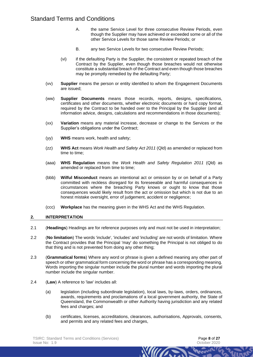- A. the same Service Level for three consecutive Review Periods, even though the Supplier may have achieved or exceeded some or all of the other Service Levels for those same Review Periods; or
- B. any two Service Levels for two consecutive Review Periods;
- (vi) if the defaulting Party is the Supplier, the consistent or repeated breach of the Contract by the Supplier, even though those breaches would not otherwise constitute a substantial breach of the Contract and even though those breaches may be promptly remedied by the defaulting Party;
- (vv) **Supplier** means the person or entity identified to whom the Engagement Documents are issued;
- (ww) **Supplier Documents** means those records, reports, designs, specifications, certificates and other documents, whether electronic documents or hard copy format, required by the Contract to be handed over to the Principal by the Supplier (and all information advice, designs, calculations and recommendations in those documents);
- (xx) **Variation** means any material increase, decrease or change to the Services or the Supplier's obligations under the Contract;
- (yy) **WHS** means work, health and safety;
- (zz) **WHS Act** means *Work Health and Safety Act 2011* (Qld) as amended or replaced from time to time;
- (aaa) **WHS Regulation** means the *Work Health and Safety Regulation 2011* (Qld) as amended or replaced from time to time;
- (bbb) **Wilful Misconduct** means an intentional act or omission by or on behalf of a Party committed with reckless disregard for its foreseeable and harmful consequences in circumstances where the breaching Party knows or ought to know that those consequences would likely result from the act or omission but which is not due to an honest mistake oversight, error of judgement, accident or negligence;
- (ccc) **Workplace** has the meaning given in the WHS Act and the WHS Regulation.

#### **2. INTERPRETATION**

- 2.1 (**Headings**) Headings are for reference purposes only and must not be used in interpretation;
- 2.2 (**No limitation**) The words 'include', 'includes' and 'including' are not words of limitation. Where the Contract provides that the Principal 'may' do something the Principal is not obliged to do that thing and is not prevented from doing any other thing;
- 2.3 (**Grammatical forms**) Where any word or phrase is given a defined meaning any other part of speech or other grammatical form concerning the word or phrase has a corresponding meaning. Words importing the singular number include the plural number and words importing the plural number include the singular number.
- 2.4 (**Law**) A reference to 'law' includes all:
	- (a) legislation (including subordinate legislation), local laws, by-laws, orders, ordinances, awards, requirements and proclamations of a local government authority, the State of Queensland, the Commonwealth or other Authority having jurisdiction and any related fees and charges; and
	- (b) certificates, licenses, accreditations, clearances, authorisations, Approvals, consents, and permits and any related fees and charges,

**WIII**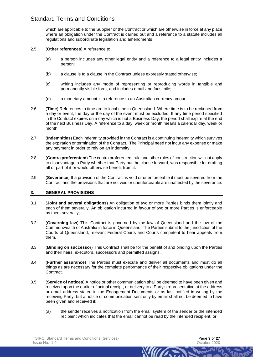which are applicable to the Supplier or the Contract or which are otherwise in force at any place where an obligation under the Contract is carried out and a reference to a statute includes all regulations and subordinate legislation and amendments

#### 2.5 (**Other references**) A reference to:

- (a) a person includes any other legal entity and a reference to a legal entity includes a person;
- (b) a clause is to a clause in the Contract unless expressly stated otherwise;
- (c) writing includes any mode of representing or reproducing words in tangible and permanently visible form, and includes email and facsimile;
- (d) a monetary amount is a reference to an Australian currency amount.
- 2.6 (**Time**) References to time are to local time in Queensland. Where time is to be reckoned from a day or event, the day or the day of the event must be excluded. If any time period specified in the Contract expires on a day which is not a Business Day, the period shall expire at the end of the next Business Day. A reference to a day, week or month means a calendar day, week or month.
- 2.7 (**Indemnities**) Each indemnity provided in the Contract is a continuing indemnity which survives the expiration or termination of the Contract. The Principal need not incur any expense or make any payment in order to rely on an indemnity.
- 2.8 (**Contra proferentem**) The contra proferentem rule and other rules of construction will not apply to disadvantage a Party whether that Party put the clause forward, was responsible for drafting all or part of it or would otherwise benefit from it.
- 2.9 (**Severance**) If a provision of the Contract is void or unenforceable it must be severed from the Contract and the provisions that are not void or unenforceable are unaffected by the severance.

#### **3. GENERAL PROVISIONS**

- 3.1 (**Joint and several obligations**) An obligation of two or more Parties binds them jointly and each of them severally. An obligation incurred in favour of two or more Parties is enforceable by them severally;
- 3.2 (**Governing law**) This Contract is governed by the law of Queensland and the law of the Commonwealth of Australia in force in Queensland. The Parties submit to the jurisdiction of the Courts of Queensland, relevant Federal Courts and Courts competent to hear appeals from them.
- 3.3 (**Binding on successor**) This Contract shall be for the benefit of and binding upon the Parties and their heirs, executors, successors and permitted assigns.
- 3.4 (**Further assurance**) The Parties must execute and deliver all documents and must do all things as are necessary for the complete performance of their respective obligations under the Contract.
- 3.5 (**Service of notices**) A notice or other communication shall be deemed to have been given and received upon the earlier of actual receipt, or delivery to a Party's representative at the address or email address stated in the Engagement Documents or as last notified in writing by the receiving Party, but a notice or communication sent only by email shall not be deemed to have been given and received if:
	- (a) the sender receives a notification from the email system of the sender or the intended recipient which indicates that the email cannot be read by the intended recipient; or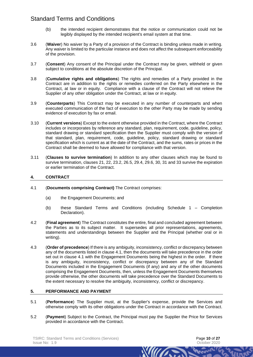- (b) the intended recipient demonstrates that the notice or communication could not be legibly displayed by the intended recipient's email system at that time.
- 3.6 (**Waiver**) No waiver by a Party of a provision of the Contract is binding unless made in writing. Any waiver is limited to the particular instance and does not affect the subsequent enforceability of the provision.
- 3.7 (**Consent**) Any consent of the Principal under the Contract may be given, withheld or given subject to conditions at the absolute discretion of the Principal.
- 3.8 (**Cumulative rights and obligations**) The rights and remedies of a Party provided in the Contract are in addition to the rights or remedies conferred on the Party elsewhere in the Contract, at law or in equity. Compliance with a clause of the Contract will not relieve the Supplier of any other obligation under the Contract, at law or in equity.
- 3.9 (**Counterparts**) This Contract may be executed in any number of counterparts and when executed communication of the fact of execution to the other Party may be made by sending evidence of execution by fax or email.
- 3.10 (**Current versions**) Except to the extent otherwise provided in the Contract, where the Contract includes or incorporates by reference any standard, plan, requirement, code, guideline, policy, standard drawing or standard specification then the Supplier must comply with the version of that standard, plan, requirement, code, guideline, policy, standard drawing or standard specification which is current as at the date of the Contract, and the sums, rates or prices in the Contract shall be deemed to have allowed for compliance with that version.
- 3.11 (**Clauses to survive termination**) In addition to any other clauses which may be found to survive termination, clauses [21,](#page-18-0) [22,](#page-18-1) [23.2,](#page-19-0) [26.5,](#page-21-1) [29.4,](#page-22-0) [29.6,](#page-23-1) [30,](#page-23-0) [31](#page-23-2) and [33](#page-25-0) survive the expiration or earlier termination of the Contract.

## **4. CONTRACT**

- <span id="page-9-0"></span>4.1 (**Documents comprising Contract)** The Contract comprises:
	- (a) the Engagement Documents; and
	- (b) these Standard Terms and Conditions (including Schedule 1 Completion Declaration).
- 4.2 (**Final agreement**) The Contract constitutes the entire, final and concluded agreement between the Parties as to its subject matter. It supersedes all prior representations, agreements, statements and understandings between the Supplier and the Principal (whether oral or in writing).
- 4.3 (**Order of precedence**) If there is any ambiguity, inconsistency, conflict or discrepancy between any of the documents listed in clause [4.1,](#page-9-0) then the documents will take precedence in the order set out in clause [4.1](#page-9-0) with the Engagement Documents being the highest in the order. If there is any ambiguity, inconsistency, conflict or discrepancy between any of the Standard Documents included in the Engagement Documents (if any) and any of the other documents comprising the Engagement Documents, then, unless the Engagement Documents themselves provide otherwise, the other documents will take precedence over the Standard Documents to the extent necessary to resolve the ambiguity, inconsistency, conflict or discrepancy.

## **5. PERFORMANCE AND PAYMENT**

- 5.1 (**Performance**) The Supplier must, at the Supplier's expense, provide the Services and otherwise comply with its other obligations under the Contract in accordance with the Contract.
- 5.2 (**Payment**) Subject to the Contract, the Principal must pay the Supplier the Price for Services provided in accordance with the Contract.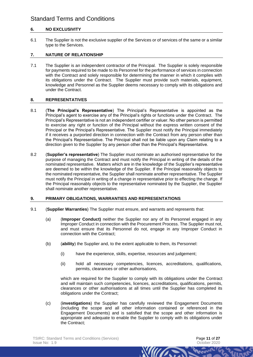## **6. NO EXCLUSIVITY**

6.1 The Supplier is not the exclusive supplier of the Services or of services of the same or a similar type to the Services.

#### **7. NATURE OF RELATIONSHIP**

7.1 The Supplier is an independent contractor of the Principal. The Supplier is solely responsible for payments required to be made to its Personnel for the performance of services in connection with the Contract and solely responsible for determining the manner in which it complies with its obligations under the Contract. The Supplier must provide such materials, equipment, knowledge and Personnel as the Supplier deems necessary to comply with its obligations and under the Contract.

#### **8. REPRESENTATIVES**

- 8.1 (**The Principal's Representative**) The Principal's Representative is appointed as the Principal's agent to exercise any of the Principal's rights or functions under the Contract. The Principal's Representative is not an independent certifier or valuer. No other person is permitted to exercise any right or function of the Principal without the express written consent of the Principal or the Principal's Representative. The Supplier must notify the Principal immediately if it receives a purported direction in connection with the Contract from any person other than the Principal's Representative. The Principal shall not be liable upon any Claim relating to a direction given to the Supplier by any person other than the Principal's Representative.
- 8.2 (**Supplier's representative**) The Supplier must nominate an authorised representative for the purpose of managing the Contract and must notify the Principal in writing of the details of the nominated representative. Matters which are in the knowledge of the Supplier's representative are deemed to be within the knowledge of the Supplier. If the Principal reasonably objects to the nominated representative, the Supplier shall nominate another representative. The Supplier must notify the Principal in writing of a change in representative prior to effecting the change. If the Principal reasonably objects to the representative nominated by the Supplier, the Supplier shall nominate another representative.

## **9. PRIMARY OBLIGATIONS, WARRANTIES AND REPRESENTATIONS**

- <span id="page-10-2"></span><span id="page-10-1"></span><span id="page-10-0"></span>9.1 (**Supplier Warranties**) The Supplier must ensure, and warrants and represents that:
	- (a) (**Improper Conduct)** neither the Supplier nor any of its Personnel engaged in any Improper Conduct in connection with the Procurement Process. The Supplier must not, and must ensure that its Personnel do not, engage in any Improper Conduct in connection with the Contract;
	- (b) (**ability**) the Supplier and, to the extent applicable to them, its Personnel:
		- (i) have the experience, skills, expertise, resources and judgement;
		- (ii) hold all necessary competencies, licences, accreditations, qualifications, permits, clearances or other authorisations,

which are required for the Supplier to comply with its obligations under the Contract and will maintain such competencies, licences, accreditations, qualifications, permits, clearances or other authorisations at all times until the Supplier has completed its obligations under the Contract;

**WIII** 

(c) (**investigations**) the Supplier has carefully reviewed the Engagement Documents (including the scope and all other information contained or referenced in the Engagement Documents) and is satisfied that the scope and other information is appropriate and adequate to enable the Supplier to comply with its obligations under the Contract;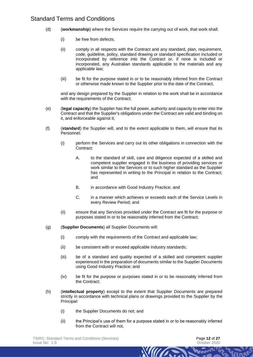- (d) (**workmanship**) where the Services require the carrying out of work, that work shall:
	- (i) be free from defects;
	- (ii) comply in all respects with the Contract and any standard, plan, requirement, code, guideline, policy, standard drawing or standard specification included or incorporated by reference into the Contract or, if none is included or incorporated, any Australian standards applicable to the materials and any applicable law;
	- (iii) be fit for the purpose stated in or to be reasonably inferred from the Contract or otherwise made known to the Supplier prior to the date of the Contract,

and any design prepared by the Supplier in relation to the work shall be in accordance with the requirements of the Contract;

- (e) (**legal capacity**) the Supplier has the full power, authority and capacity to enter into the Contract and that the Supplier's obligations under the Contract are valid and binding on it, and enforceable against it;
- (f) (**standard**) the Supplier will, and to the extent applicable to them, will ensure that its Personnel:
	- (i) perform the Services and carry out its other obligations in connection with the Contract:
		- A. to the standard of skill, care and diligence expected of a skilled and competent supplier engaged in the business of providing services or work similar to the Services or to such higher standard as the Supplier has represented in writing to the Principal in relation to the Contract; and
		- B. in accordance with Good Industry Practice; and
		- C. in a manner which achieves or exceeds each of the Service Levels in every Review Period; and
	- (ii) ensure that any Services provided under the Contract are fit for the purpose or purposes stated in or to be reasonably inferred from the Contract;
- (g) (**Supplier Documents**) all Supplier Documents will:
	- (i) comply with the requirements of the Contract and applicable law;
	- (ii) be consistent with or exceed applicable industry standards;
	- (iii) be of a standard and quality expected of a skilled and competent supplier experienced in the preparation of documents similar to the Supplier Documents using Good Industry Practice; and
	- (iv) be fit for the purpose or purposes stated in or to be reasonably inferred from the Contract;
- (h) (**intellectual property**) except to the extent that Supplier Documents are prepared strictly in accordance with technical plans or drawings provided to the Supplier by the Principal:
	- (i) the Supplier Documents do not; and
	- (ii) the Principal's use of them for a purpose stated in or to be reasonably inferred from the Contract will not,

William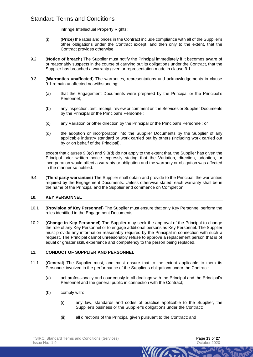infringe Intellectual Property Rights;

- (i) (**Price**) the rates and prices in the Contract include compliance with all of the Supplier's other obligations under the Contract except, and then only to the extent, that the Contract provides otherwise;
- 9.2 (**Notice of breach**) The Supplier must notify the Principal immediately if it becomes aware of or reasonably suspects in the course of carrying out its obligations under the Contract, that the Supplier has breached a warranty given or representation made in clause [9.1.](#page-10-0)
- 9.3 (**Warranties unaffected**) The warranties, representations and acknowledgements in clause [9.1](#page-10-0) remain unaffected notwithstanding:
	- (a) that the Engagement Documents were prepared by the Principal or the Principal's Personnel;
	- (b) any inspection, test, receipt, review or comment on the Services or Supplier Documents by the Principal or the Principal's Personnel;
	- (c) any Variation or other direction by the Principal or the Principal's Personnel; or
	- (d) the adoption or incorporation into the Supplier Documents by the Supplier of any applicable industry standard or work carried out by others (including work carried out by or on behalf of the Principal),

<span id="page-12-1"></span><span id="page-12-0"></span>except that clauses [9.3\(c\)](#page-12-0) and [9.3\(d\)](#page-12-1) do not apply to the extent that, the Supplier has given the Principal prior written notice expressly stating that the Variation, direction, adoption, or incorporation would affect a warranty or obligation and the warranty or obligation was affected in the manner so notified.

9.4 (**Third party warranties**) The Supplier shall obtain and provide to the Principal, the warranties required by the Engagement Documents. Unless otherwise stated, each warranty shall be in the name of the Principal and the Supplier and commence on Completion.

#### **10. KEY PERSONNEL**

- 10.1 (**Provision of Key Personnel**) The Supplier must ensure that only Key Personnel perform the roles identified in the Engagement Documents.
- 10.2 (**Change in Key Personnel**) The Supplier may seek the approval of the Principal to change the role of any Key Personnel or to engage additional persons as Key Personnel. The Supplier must provide any information reasonably required by the Principal in connection with such a request. The Principal cannot unreasonably refuse to approve a replacement person that is of equal or greater skill, experience and competency to the person being replaced.

#### **11. CONDUCT OF SUPPLIER AND PERSONNEL**

- <span id="page-12-2"></span>11.1 (**General**) The Supplier must, and must ensure that to the extent applicable to them its Personnel involved in the performance of the Supplier's obligations under the Contract:
	- (a) act professionally and courteously in all dealings with the Principal and the Principal's Personnel and the general public in connection with the Contract;
	- (b) comply with:
		- (i) any law, standards and codes of practice applicable to the Supplier, the Supplier's business or the Supplier's obligations under the Contract;

**WILLIAM** 

(ii) all directions of the Principal given pursuant to the Contract; and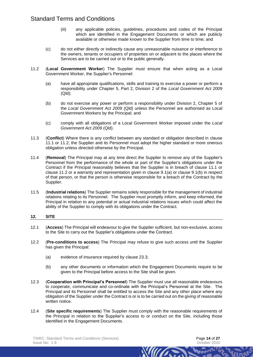- <span id="page-13-0"></span>(iii) any applicable policies, guidelines, procedures and codes of the Principal which are identified in the Engagement Documents or which are publicly available or otherwise made known to the Supplier from time to time; and
- (c) do not either directly or indirectly cause any unreasonable nuisance or interference to the owners, tenants or occupiers of properties on or adjacent to the places where the Services are to be carried out or to the public generally.
- <span id="page-13-1"></span>11.2 (**Local Government Worker**) The Supplier must ensure that when acting as a Local Government Worker, the Supplier's Personnel:
	- (a) have all appropriate qualifications, skills and training to exercise a power or perform a responsibility under Chapter 5, Part 2, Division 2 of the *Local Government Act 2009* (Qld);
	- (b) do not exercise any power or perform a responsibility under Division 2, Chapter 5 of the *Local Government Act 2009* (Qld) unless the Personnel are authorised as Local Government Workers by the Principal; and
	- (c) comply with all obligations of a Local Government Worker imposed under the *Local Government Act 2009* (Qld).
- 11.3 (**Conflict**) Where there is any conflict between any standard or obligation described in clause [11.1](#page-12-2) or [11.2,](#page-13-0) the Supplier and its Personnel must adopt the higher standard or more onerous obligation unless directed otherwise by the Principal.
- 11.4 (**Removal**) The Principal may at any time direct the Supplier to remove any of the Supplier's Personnel from the performance of the whole or part of the Supplier's obligations under the Contract if the Principal reasonably believes that the Supplier is in breach of clause [11.1](#page-12-2) or clause [11.2](#page-13-1) or a warranty and representation given in clause [9.1\(a\)](#page-10-1) or clause [9.1\(b\)](#page-10-2) in respect of that person, or that the person is otherwise responsible for a breach of the Contract by the Supplier.
- 11.5 (**Industrial relations**) The Supplier remains solely responsible for the management of industrial relations relating to its Personnel. The Supplier must promptly inform, and keep informed, the Principal in relation to any potential or actual industrial relations issues which could affect the ability of the Supplier to comply with its obligations under the Contract.

#### **12. SITE**

- 12.1 (**Access**) The Principal will endeavour to give the Supplier sufficient, but non-exclusive, access to the Site to carry out the Supplier's obligations under the Contract.
- 12.2 (**Pre-conditions to access**) The Principal may refuse to give such access until the Supplier has given the Principal:
	- (a) evidence of insurance required by clause [23.3;](#page-19-1)
	- (b) any other documents or information which the Engagement Documents require to be given to the Principal before access to the Site shall be given.
- 12.3 (**Cooperation with Principal's Personnel**) The Supplier must use all reasonable endeavours to cooperate, communicate and co-ordinate with the Principal's Personnel at the Site. The Principal and its Personnel shall be entitled to access the Site and any other place where any obligation of the Supplier under the Contract is or is to be carried out on the giving of reasonable written notice.
- 12.4 (**Site specific requirements**) The Supplier must comply with the reasonable requirements of the Principal in relation to the Supplier's access to or conduct on the Site, including those identified in the Engagement Documents.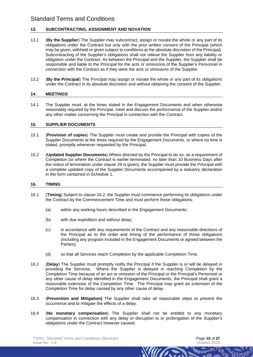## **13. SUBCONTRACTING, ASSIGNMENT AND NOVATION**

- 13.1 (**By the Supplier**) The Supplier may subcontract, assign or novate the whole or any part of its obligations under the Contract but only with the prior written consent of the Principal (which may be given, withheld or given subject to conditions at the absolute discretion of the Principal). Subcontracting of the Supplier's obligations shall not relieve the Supplier from any liability or obligation under the Contract. As between the Principal and the Supplier, the Supplier shall be responsible and liable to the Principal for the acts or omissions of the Supplier's Personnel in connection with the Contract as if they were the acts or omissions of the Supplier.
- 13.2 (**By the Principal**) The Principal may assign or novate the whole or any part of its obligations under the Contract in its absolute discretion and without obtaining the consent of the Supplier.

#### **14. MEETINGS**

14.1 The Supplier must, at the times stated in the Engagement Documents and when otherwise reasonably required by the Principal, meet and discuss the performance of the Supplier and/or any other matter concerning the Principal in connection with the Contract.

#### **15. SUPPLIER DOCUMENTS**

- 15.1 (**Provision of copies**) The Supplier must create and provide the Principal with copies of the Supplier Documents at the times required by the Engagement Documents, or where no time is stated, promptly whenever requested by the Principal.
- 15.2 (**Updated Supplier Documents**) Where directed by the Principal to do so, as a requirement of Completion (or where the Contract is earlier terminated, no later than 10 Business Days after the notice of termination under clause [29](#page-22-1) is given), the Supplier must provide the Principal with a complete updated copy of the Supplier Documents accompanied by a statutory declaration in the form contained in Schedule 1.

#### **16. TIMING**

- 16.1 (**Timing**) Subject to clause [16.2,](#page-14-0) the Supplier must commence performing its obligations under the Contract by the Commencement Time and must perform those obligations:
	- (a) within any working hours described in the Engagement Documents;
	- (b) with due expedition and without delay;
	- (c) in accordance with any requirements of the Contract and any reasonable directions of the Principal as to the order and timing of the performance of those obligations (including any program included in the Engagement Documents or agreed between the Parties);
	- (d) so that all Services reach Completion by the applicable Completion Time.
- <span id="page-14-0"></span>16.2 (**Delay**) The Supplier must promptly notify the Principal if the Supplier is or will be delayed in providing the Services. Where the Supplier is delayed in reaching Completion by the Completion Time because of an act or omission of the Principal or the Principal's Personnel or any other cause of delay identified in the Engagement Documents, the Principal shall grant a reasonable extension of the Completion Time. The Principal may grant an extension of the Completion Time for delay caused by any other cause of delay.
- 16.3 (**Prevention and Mitigation)** The Supplier shall take all reasonable steps to prevent the occurrence and to mitigate the effects of a delay.
- 16.4 (**No monetary compensation**) The Supplier shall not be entitled to any monetary compensation in connection with any delay or disruption to or prolongation of the Supplier's obligations under the Contract however caused.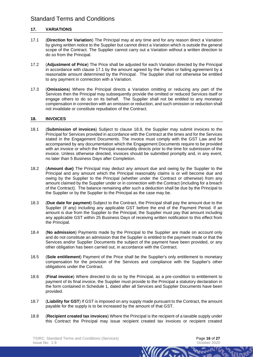## **17. VARIATIONS**

- <span id="page-15-0"></span>17.1 (**Direction for Variation**) The Principal may at any time and for any reason direct a Variation by giving written notice to the Supplier but cannot direct a Variation which is outside the general scope of the Contract. The Supplier cannot carry out a Variation without a written direction to do so from the Principal.
- 17.2 (**Adjustment of Price**) The Price shall be adjusted for each Variation directed by the Principal in accordance with clause [17.1](#page-15-0) by the amount agreed by the Parties or failing agreement by a reasonable amount determined by the Principal. The Supplier shall not otherwise be entitled to any payment in connection with a Variation.
- 17.3 (**Omissions**) Where the Principal directs a Variation omitting or reducing any part of the Services then the Principal may subsequently provide the omitted or reduced Services itself or engage others to do so on its behalf. The Supplier shall not be entitled to any monetary compensation in connection with an omission or reduction, and such omission or reduction shall not invalidate or constitute repudiation of the Contract.

#### **18. INVOICES**

- 18.1 (**Submission of invoices**) Subject to clause [18.8,](#page-15-1) the Supplier may submit invoices to the Principal for Services provided in accordance with the Contract at the times and for the Services stated in the Engagement Documents. The invoice must comply with the GST Law and be accompanied by any documentation which the Engagement Documents require to be provided with an invoice or which the Principal reasonably directs prior to the time for submission of the invoice. Unless otherwise directed, invoices should be submitted promptly and, in any event, no later than 5 Business Days after Completion.
- 18.2 (**Amount due)** The Principal may deduct any amount due and owing by the Supplier to the Principal and any amount which the Principal reasonably claims is or will become due and owing by the Supplier to the Principal (whether under the Contract or otherwise) from any amount claimed by the Supplier under or in connection with the Contract (including for a breach of the Contract). The balance remaining after such a deduction shall be due by the Principal to the Supplier or by the Supplier to the Principal as the case may be.
- 18.3 (**Due date for payment**) Subject to the Contract, the Principal shall pay the amount due to the Supplier (if any) including any applicable GST before the end of the Payment Period. If an amount is due from the Supplier to the Principal, the Supplier must pay that amount including any applicable GST within 25 Business Days of receiving written notification to this effect from the Principal.
- 18.4 (**No admission**) Payments made by the Principal to the Supplier are made on account only and do not constitute an admission that the Supplier is entitled to the payment made or that the Services and/or Supplier Documents the subject of the payment have been provided, or any other obligation has been carried out, in accordance with the Contract.
- 18.5 (**Sole entitlement**) Payment of the Price shall be the Supplier's only entitlement to monetary compensation for the provision of the Services and compliance with the Supplier's other obligations under the Contract.
- 18.6 (**Final invoice**) Where directed to do so by the Principal, as a pre-condition to entitlement to payment of its final invoice, the Supplier must provide to the Principal a statutory declaration in the form contained in Schedule 1, dated after all Services and Supplier Documents have been provided.
- 18.7 (**Liability for GST**) If GST is imposed on any supply made pursuant to the Contract, the amount payable for the supply is to be increased by the amount of that GST.
- <span id="page-15-1"></span>18.8 (**Recipient created tax invoices**) Where the Principal is the recipient of a taxable supply under this Contract the Principal may issue recipient created tax invoices or recipient created

**WIII**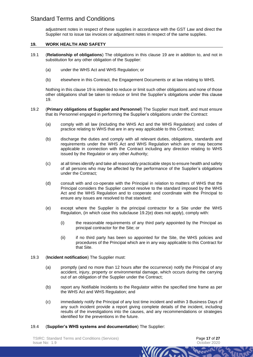adjustment notes in respect of these supplies in accordance with the GST Law and direct the Supplier not to issue tax invoices or adjustment notes in respect of the same supplies.

#### <span id="page-16-0"></span>**19. WORK HEALTH AND SAFETY**

- 19.1 (**Relationship of obligations**) The obligations in this clause [19](#page-16-0) are in addition to, and not in substitution for any other obligation of the Supplier:
	- (a) under the WHS Act and WHS Regulation; or
	- (b) elsewhere in this Contract, the Engagement Documents or at law relating to WHS.

Nothing in this clause [19](#page-16-0) is intended to reduce or limit such other obligations and none of those other obligations shall be taken to reduce or limit the Supplier's obligations under this clause [19.](#page-16-0)

- 19.2 (**Primary obligations of Supplier and Personnel**) The Supplier must itself, and must ensure that its Personnel engaged in performing the Supplier's obligations under the Contract:
	- (a) comply with all law (including the WHS Act and the WHS Regulation) and codes of practice relating to WHS that are in any way applicable to this Contract;
	- (b) discharge the duties and comply with all relevant duties, obligations, standards and requirements under the WHS Act and WHS Regulation which are or may become applicable in connection with the Contract including any direction relating to WHS issued by the Regulator or any other Authority;
	- (c) at all times identify and take all reasonably practicable steps to ensure health and safety of all persons who may be affected by the performance of the Supplier's obligations under the Contract*;*
	- (d) consult with and co-operate with the Principal in relation to matters of WHS that the Principal considers the Supplier cannot resolve to the standard imposed by the WHS Act and the WHS Regulation and to cooperate and coordinate with the Principal to ensure any issues are resolved to that standard;
	- (e) except where the Supplier is the principal contractor for a Site under the WHS Regulation, (in which case this subclause [19.2\(e\)](#page-16-1) does not apply), comply with:
		- (i) the reasonable requirements of any third party appointed by the Principal as principal contractor for the Site; or
		- (ii) if no third party has been so appointed for the Site, the WHS policies and procedures of the Principal which are in any way applicable to this Contract for that Site.

#### <span id="page-16-1"></span>19.3 (**Incident notification**) The Supplier must:

- (a) promptly (and no more than 12 hours after the occurrence) notify the Principal of any accident, injury, property or environmental damage, which occurs during the carrying out of an obligation of the Supplier under the Contract;
- (b) report any Notifiable Incidents to the Regulator within the specified time frame as per the WHS Act and WHS Regulation; and
- (c) immediately notify the Principal of any lost time incident and within 3 Business Days of any such incident provide a report giving complete details of the incident, including results of the investigations into the causes, and any recommendations or strategies identified for the preventions in the future.

**WILLIAM** 

19.4 (**Supplier's WHS systems and documentation**) The Supplier: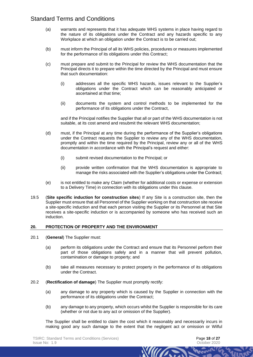- (a) warrants and represents that it has adequate WHS systems in place having regard to the nature of its obligations under the Contract and any hazards specific to any Workplace at which an obligation under the Contract is to be carried out;
- (b) must inform the Principal of all its WHS policies, procedures or measures implemented for the performance of its obligations under this Contract;
- (c) must prepare and submit to the Principal for review the WHS documentation that the Principal directs it to prepare within the time directed by the Principal and must ensure that such documentation:
	- (i) addresses all the specific WHS hazards, issues relevant to the Supplier's obligations under the Contract which can be reasonably anticipated or ascertained at that time;
	- (ii) documents the system and control methods to be implemented for the performance of its obligations under the Contract,

and if the Principal notifies the Supplier that all or part of the WHS documentation is not suitable, at its cost amend and resubmit the relevant WHS documentation;

- (d) must, if the Principal at any time during the performance of the Supplier's obligations under the Contract requests the Supplier to review any of the WHS documentation, promptly and within the time required by the Principal, review any or all of the WHS documentation in accordance with the Principal's request and either:
	- (i) submit revised documentation to the Principal; or
	- (ii) provide written confirmation that the WHS documentation is appropriate to manage the risks associated with the Supplier's obligations under the Contract;
- (e) is not entitled to make any Claim (whether for additional costs or expense or extension to a Delivery Time) in connection with its obligations under this clause.
- 19.5 (**Site specific induction for construction sites**) If any Site is a construction site, then the Supplier must ensure that all Personnel of the Supplier working on that construction site receive a site-specific induction and that each person visiting the Supplier or its Personnel at that Site receives a site-specific induction or is accompanied by someone who has received such an induction.

#### **20. PROTECTION OF PROPERTY AND THE ENVIRONMENT**

- <span id="page-17-0"></span>20.1 (**General**) The Supplier must:
	- (a) perform its obligations under the Contract and ensure that its Personnel perform their part of those obligations safely and in a manner that will prevent pollution, contamination or damage to property; and
	- (b) take all measures necessary to protect property in the performance of its obligations under the Contract.
- 20.2 (**Rectification of damage**) The Supplier must promptly rectify:
	- (a) any damage to any property which is caused by the Supplier in connection with the performance of its obligations under the Contract;
	- (b) any damage to any property, which occurs whilst the Supplier is responsible for its care (whether or not due to any act or omission of the Supplier).

The Supplier shall be entitled to claim the cost which it reasonably and necessarily incurs in making good any such damage to the extent that the negligent act or omission or Wilful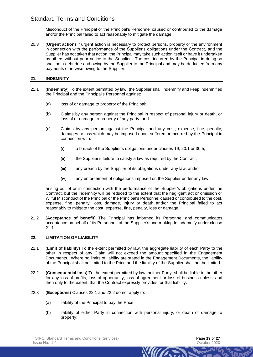Misconduct of the Principal or the Principal's Personnel caused or contributed to the damage and/or the Principal failed to act reasonably to mitigate the damage.

20.3 (**Urgent action**) If urgent action is necessary to protect persons, property or the environment in connection with the performance of the Supplier's obligations under the Contract, and the Supplier has not taken that action, the Principal may take such action itself or have it undertaken by others without prior notice to the Supplier. The cost incurred by the Principal in doing so shall be a debt due and owing by the Supplier to the Principal and may be deducted from any payments otherwise owing to the Supplier.

#### <span id="page-18-0"></span>**21. INDEMNITY**

- <span id="page-18-2"></span>21.1 (**Indemnity**) To the extent permitted by law, the Supplier shall indemnify and keep indemnified the Principal and the Principal's Personnel against:
	- (a) loss of or damage to property of the Principal;
	- (b) Claims by any person against the Principal in respect of personal injury or death, or loss of or damage to property of any party; and
	- (c) Claims by any person against the Principal and any cost, expense, fine, penalty, damages or loss which may be imposed upon, suffered or incurred by the Principal in connection with:
		- (i) a breach of the Supplier's obligations under clauses [19,](#page-16-0) [20.1](#page-17-0) or [30.5;](#page-23-3)
		- (ii) the Supplier's failure to satisfy a law as required by the Contract;
		- (iii) any breach by the Supplier of its obligations under any law; and/or
		- (iv) any enforcement of obligations imposed on the Supplier under any law,

arising out of or in connection with the performance of the Supplier's obligations under the Contract, but the indemnity will be reduced to the extent that the negligent act or omission or Wilful Misconduct of the Principal or the Principal's Personnel caused or contributed to the cost, expense, fine, penalty, loss, damage, injury or death and/or the Principal failed to act reasonably to mitigate the cost, expense, fine, penalty, loss or damage.

21.2 (**Acceptance of benefit**) The Principal has informed its Personnel and communicates acceptance on behalf of its Personnel, of the Supplier's undertaking to indemnify under clause [21.1.](#page-18-2)

#### <span id="page-18-1"></span>**22. LIMITATION OF LIABILITY**

- <span id="page-18-3"></span>22.1 (**Limit of liability**) To the extent permitted by law, the aggregate liability of each Party to the other in respect of any Claim will not exceed the amount specified in the Engagement Documents. Where no limits of liability are stated in the Engagement Documents, the liability of the Principal shall be limited to the Price and the liability of the Supplier shall not be limited.
- <span id="page-18-4"></span>22.2 **(Consequential loss**) To the extent permitted by law, neither Party, shall be liable to the other for any loss of profits, loss of opportunity, loss of agreement or loss of business unless, and then only to the extent, that the Contract expressly provides for that liability.
- <span id="page-18-6"></span><span id="page-18-5"></span>22.3 (**Exceptions**) Clauses [22.1](#page-18-3) and [22.2](#page-18-4) do not apply to:
	- (a) liability of the Principal to pay the Price;
	- (b) liability of either Party in connection with personal injury, or death or damage to property;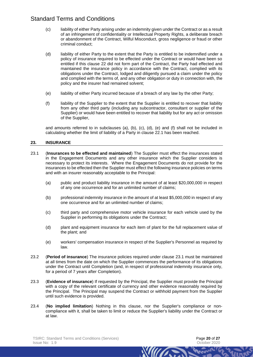- <span id="page-19-2"></span>(c) liability of either Party arising under an indemnity given under the Contract or as a result of an infringement of confidentiality or Intellectual Property Rights, a deliberate breach or abandonment of the Contract, Wilful Misconduct, gross negligence or fraud or other criminal conduct;
- <span id="page-19-3"></span>(d) liability of either Party to the extent that the Party is entitled to be indemnified under a policy of insurance required to be effected under the Contract or would have been so entitled if this clause [22](#page-18-1) did not form part of the Contract, the Party had effected and maintained the insurance policy in accordance with the Contract, complied with its obligations under the Contract, lodged and diligently pursued a claim under the policy and complied with the terms of, and any other obligation or duty in connection with, the policy and the insurer had remained solvent;
- <span id="page-19-4"></span>(e) liability of either Party incurred because of a breach of any law by the other Party;
- <span id="page-19-5"></span>(f) liability of the Supplier to the extent that the Supplier is entitled to recover that liability from any other third party (including any subcontractor, consultant or supplier of the Supplier) or would have been entitled to recover that liability but for any act or omission of the Supplier,

and amounts referred to in subclauses [\(a\),](#page-18-5) [\(b\),](#page-18-6) [\(c\),](#page-19-2) [\(d\),](#page-19-3) [\(e\)](#page-19-4) and [\(f\)](#page-19-5) shall not be included in calculating whether the limit of liability of a Party in clause [22.1](#page-18-3) has been reached.

## **23. INSURANCE**

- <span id="page-19-6"></span>23.1 (**Insurances to be effected and maintained**) The Supplier must effect the insurances stated in the Engagement Documents and any other insurance which the Supplier considers is necessary to protect its interests. Where the Engagement Documents do not provide for the insurances to be effected then the Supplier must effect the following insurance policies on terms and with an insurer reasonably acceptable to the Principal:
	- (a) public and product liability insurance in the amount of at least \$20,000,000 in respect of any one occurrence and for an unlimited number of claims;
	- (b) professional indemnity insurance in the amount of at least \$5,000,000 in respect of any one occurrence and for an unlimited number of claims;
	- (c) third party and comprehensive motor vehicle insurance for each vehicle used by the Supplier in performing its obligations under the Contract;
	- (d) plant and equipment insurance for each item of plant for the full replacement value of the plant; and
	- (e) workers' compensation insurance in respect of the Supplier's Personnel as required by law.
- <span id="page-19-0"></span>23.2 (**Period of insurance**) The insurance policies required under clause [23.1](#page-19-6) must be maintained at all times from the date on which the Supplier commences the performance of its obligations under the Contract until Completion (and, in respect of professional indemnity insurance only, for a period of 7 years after Completion).
- <span id="page-19-1"></span>23.3 (**Evidence of insurance**) If requested by the Principal, the Supplier must provide the Principal with a copy of the relevant certificate of currency and other evidence reasonably required by the Principal. The Principal may suspend the Contract or withhold payment from the Supplier until such evidence is provided.
- 23.4 (**No implied limitation**) Nothing in this clause, nor the Supplier's compliance or noncompliance with it, shall be taken to limit or reduce the Supplier's liability under the Contract or at law.

William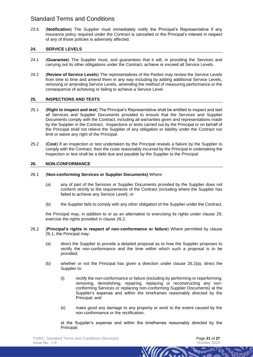23.5 (**Notification**) The Supplier must immediately notify the Principal's Representative if any insurance policy required under the Contract is cancelled or the Principal's interest in respect of any of those policies is adversely affected.

## **24. SERVICE LEVELS**

- 24.1 (**Guarantee**) The Supplier must, and guarantees that it will, in providing the Services and carrying out its other obligations under the Contract, achieve or exceed all Service Levels.
- 24.2 (**Review of Service Levels**) The representatives of the Parties may review the Service Levels from time to time and amend them in any way including by adding additional Service Levels, removing or amending Service Levels, amending the method of measuring performance or the consequence of achieving or failing to achieve a Service Level.

## **25. INSPECTIONS AND TESTS**

- 25.1 (**Right to inspect and test**) The Principal's Representative shall be entitled to inspect and test all Services and Supplier Documents provided to ensure that the Services and Supplier Documents comply with the Contract, including all warranties given and representations made by the Supplier in the Contract. Inspections or tests carried out by the Principal or on behalf of the Principal shall not relieve the Supplier of any obligation or liability under the Contract nor limit or waive any right of the Principal.
- 25.2 (**Cost**) If an inspection or test undertaken by the Principal reveals a failure by the Supplier to comply with the Contract, then the costs reasonably incurred by the Principal in undertaking the inspection or test shall be a debt due and payable by the Supplier to the Principal.

#### <span id="page-20-4"></span>**26. NON-CONFORMANCE**

#### <span id="page-20-1"></span>26.1 (**Non-conforming Services or Supplier Documents)** Where:

- (a) any of part of the Services or Supplier Documents provided by the Supplier does not conform strictly to the requirements of the Contract (including where the Supplier has failed to achieve any Service Level); or
- (b) the Supplier fails to comply with any other obligation of the Supplier under the Contract,

the Principal may, in addition to or as an alternative to exercising its rights under clause [29,](#page-22-1) exercise the rights provided in clause [26.2.](#page-20-0)

- <span id="page-20-2"></span><span id="page-20-0"></span>26.2 (**Principal's rights in respect of non-conformance or failure**) Where permitted by clause [26.1,](#page-20-1) the Principal may:
	- (a) direct the Supplier to provide a detailed proposal as to how the Supplier proposes to rectify the non-conformance and the time within which such a proposal is to be provided;
	- (b) whether or not the Principal has given a direction under clause [26.2\(a\),](#page-20-2) direct the Supplier to:
		- (i) rectify the non-conformance or failure (including by performing or reperforming, removing, demolishing, repairing, replacing or reconstructing any nonconforming Services or replacing non-conforming Supplier Documents) at the Supplier's expense and within the timeframes reasonably directed by the Principal; and
		- (ii) make good any damage to any property or work to the extent caused by the non-conformance or the rectification,

<span id="page-20-3"></span>at the Supplier's expense and within the timeframes reasonably directed by the Principal;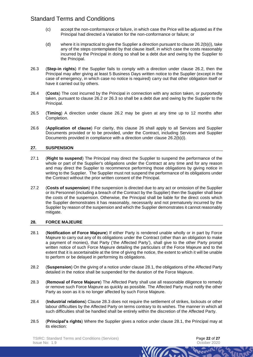- (c) accept the non-conformance or failure, in which case the Price will be adjusted as if the Principal had directed a Variation for the non-conformance or failure; or
- (d) where it is impractical to give the Supplier a direction pursuant to clause  $26.2(b)(i)$ , take any of the steps contemplated by that clause itself, in which case the costs reasonably incurred by the Principal in doing so shall be a debt due and owing by the Supplier to the Principal.
- <span id="page-21-2"></span>26.3 (**Step-in rights**) If the Supplier fails to comply with a direction under clause [26.2,](#page-20-0) then the Principal may after giving at least 5 Business Days written notice to the Supplier (except in the case of emergency, in which case no notice is required) carry out that other obligation itself or have it carried out by others.
- 26.4 (**Costs**) The cost incurred by the Principal in connection with any action taken, or purportedly taken, pursuant to clause [26.2](#page-20-0) or [26.3](#page-21-2) so shall be a debt due and owing by the Supplier to the Principal.
- <span id="page-21-1"></span>26.5 (**Timing**) A direction under clause [26.2](#page-20-0) may be given at any time up to 12 months after Completion.
- 26.6 (**Application of clause**) For clarity, this clause [26](#page-20-4) shall apply to all Services and Supplier Documents provided or to be provided, under the Contract, including Services and Supplier Documents provided in compliance with a direction under clause [26.2\(b\)\(i\).](#page-20-3)

## **27. SUSPENSION**

- 27.1 (**Right to suspend**) The Principal may direct the Supplier to suspend the performance of the whole or part of the Supplier's obligations under the Contract at any time and for any reason and may direct the Supplier to recommence performing those obligations by giving notice in writing to the Supplier. The Supplier must not suspend the performance of its obligations under the Contract without the prior written consent of the Principal.
- 27.2 (**Costs of suspension**) If the suspension is directed due to any act or omission of the Supplier or its Personnel (including a breach of the Contract by the Supplier) then the Supplier shall bear the costs of the suspension. Otherwise, the Principal shall be liable for the direct costs which the Supplier demonstrates it has reasonably, necessarily and not prematurely incurred by the Supplier by reason of the suspension and which the Supplier demonstrates it cannot reasonably mitigate.

#### **28. FORCE MAJEURE**

- <span id="page-21-0"></span>28.1 (**Notification of Force Majeure**) If either Party is rendered unable wholly or in part by Force Majeure to carry out any of its obligations under the Contract (other than an obligation to make a payment of monies), that Party ('the Affected Party'), shall give to the other Party prompt written notice of such Force Majeure detailing the particulars of the Force Majeure and to the extent that it is ascertainable at the time of giving the notice, the extent to which it will be unable to perform or be delayed in performing its obligations.
- 28.2 (**Suspension**) On the giving of a notice under clause [28.1,](#page-21-0) the obligations of the Affected Party detailed in the notice shall be suspended for the duration of the Force Majeure.
- <span id="page-21-3"></span>28.3 (**Removal of Force Majeure**) The Affected Party shall use all reasonable diligence to remedy or remove such Force Majeure as quickly as possible. The Affected Party must notify the other Party as soon as it is no longer affected by such Force Majeure.
- 28.4 (**Industrial relations**) Clause [28.3](#page-21-3) does not require the settlement of strikes, lockouts or other labour difficulties by the Affected Party on terms contrary to its wishes. The manner in which all such difficulties shall be handled shall be entirely within the discretion of the Affected Party.
- 28.5 (**Principal's rights**) Where the Supplier gives a notice under clause [28.1,](#page-21-0) the Principal may at its election: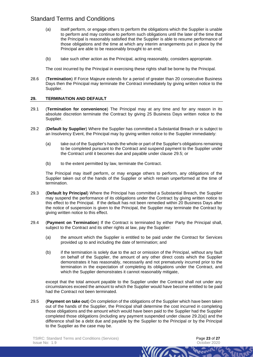- (a) itself perform, or engage others to perform the obligations which the Supplier is unable to perform and may continue to perform such obligations until the later of the time that the Principal is reasonably satisfied that the Supplier is able to resume performance of those obligations and the time at which any interim arrangements put in place by the Principal are able to be reasonably brought to an end;
- (b) take such other action as the Principal, acting reasonably, considers appropriate.

The cost incurred by the Principal in exercising these rights shall be borne by the Principal.

28.6 (**Termination**) If Force Majeure extends for a period of greater than 20 consecutive Business Days then the Principal may terminate the Contract immediately by giving written notice to the Supplier.

#### <span id="page-22-1"></span>**29. TERMINATION AND DEFAULT**

- 29.1 (**Termination for convenience**) The Principal may at any time and for any reason in its absolute discretion terminate the Contract by giving 25 Business Days written notice to the Supplier.
- 29.2 (**Default by Supplier**) Where the Supplier has committed a Substantial Breach or is subject to an Insolvency Event, the Principal may by giving written notice to the Supplier immediately:
	- (a) take out of the Supplier's hands the whole or part of the Supplier's obligations remaining to be completed pursuant to the Contract and suspend payment to the Supplier under the Contract until it becomes due and payable under clause [29.5;](#page-22-2) or
	- (b) to the extent permitted by law, terminate the Contract.

<span id="page-22-3"></span>The Principal may itself perform, or may engage others to perform, any obligations of the Supplier taken out of the hands of the Supplier or which remain unperformed at the time of termination.

- 29.3 (**Default by Principal**) Where the Principal has committed a Substantial Breach, the Supplier may suspend the performance of its obligations under the Contract by giving written notice to this effect to the Principal. If the default has not been remedied within 20 Business Days after the notice of suspension is given to the Principal, the Supplier may terminate the Contract by giving written notice to this effect.
- <span id="page-22-0"></span>29.4 (**Payment on Termination**) If the Contract is terminated by either Party the Principal shall, subject to the Contract and its other rights at law, pay the Supplier:
	- (a) the amount which the Supplier is entitled to be paid under the Contract for Services provided up to and including the date of termination; and
	- (b) if the termination is solely due to the act or omission of the Principal, without any fault on behalf of the Supplier, the amount of any other direct costs which the Supplier demonstrates it has reasonably, necessarily and not prematurely incurred prior to the termination in the expectation of completing its obligations under the Contract, and which the Supplier demonstrates it cannot reasonably mitigate.

except that the total amount payable to the Supplier under the Contract shall not under any circumstances exceed the amount to which the Supplier would have become entitled to be paid had the Contract not been terminated.

WILLIAM

<span id="page-22-2"></span>29.5 (**Payment on take out**) On completion of the obligations of the Supplier which have been taken out of the hands of the Supplier, the Principal shall determine the cost incurred in completing those obligations and the amount which would have been paid to the Supplier had the Supplier completed those obligations (including any payment suspended under clause [29.2\(a\)\)](#page-22-3) and the difference shall be a debt due and payable by the Supplier to the Principal or by the Principal to the Supplier as the case may be.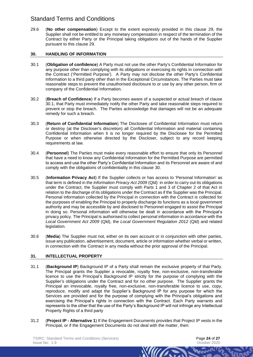<span id="page-23-1"></span>29.6 (**No other compensation**) Except to the extent expressly provided in this clause [29,](#page-22-1) the Supplier shall not be entitled to any monetary compensation in respect of the termination of the Contract by either Party or the Principal taking obligations out of the hands of the Supplier pursuant to this clause [29.](#page-22-1)

## <span id="page-23-0"></span>**30. HANDLING OF INFORMATION**

- <span id="page-23-4"></span>30.1 (**Obligation of confidence**) A Party must not use the other Party's Confidential Information for any purpose other than complying with its obligations or exercising its rights in connection with the Contract ('Permitted Purpose'). A Party may not disclose the other Party's Confidential Information to a third party other than in the Exceptional Circumstances. The Parties must take reasonable steps to prevent the unauthorised disclosure to or use by any other person, firm or company of the Confidential Information.
- 30.2 (**Breach of Confidence**) If a Party becomes aware of a suspected or actual breach of clause [30.1,](#page-23-4) that Party must immediately notify the other Party and take reasonable steps required to prevent or stop the breach. The Parties acknowledge that damages will not be an adequate remedy for such a breach.
- 30.3 (**Return of Confidential Information**) The Disclosee of Confidential Information must return or destroy (at the Discloser's discretion) all Confidential Information and material containing Confidential Information when it is no longer required by the Disclosee for the Permitted Purpose or when otherwise directed by the Discloser, subject to any record keeping requirements at law.
- 30.4 (**Personnel**) The Parties must make every reasonable effort to ensure that only its Personnel that have a need to know any Confidential Information for the Permitted Purpose are permitted to access and use the other Party's Confidential Information and its Personnel are aware of and comply with the obligations of confidentiality in this clause [30.](#page-23-0)
- <span id="page-23-3"></span>30.5 (**Information Privacy Act**) If the Supplier collects or has access to 'Personal Information' as that term is defined in the *Information Privacy Act 2009* (Qld) in order to carry out its obligations under the Contract, the Supplier must comply with Parts 1 and 3 of Chapter 2 of that Act in relation to the discharge of its obligations under the Contract as if the Supplier was the Principal. Personal information collected by the Principal in connection with the Contract is collected for the purposes of enabling the Principal to properly discharge its functions as a local government authority and may be accessible by and disclosed to Personnel engaged to assist the Principal in doing so. Personal information will otherwise be dealt in accordance with the Principal's privacy policy. The Principal is authorised to collect personal information in accordance with the *Local Government Act 2009* (Qld), the *Local Government Regulation 2012* (Qld) and related legislation.
- 30.6 (**Media**) The Supplier must not, either on its own account or in conjunction with other parties, issue any publication, advertisement, document, article or information whether verbal or written, in connection with the Contract in any media without the prior approval of the Principal.

## <span id="page-23-2"></span>**31. INTELLECTUAL PROPERTY**

- 31.1 (**Background IP**) Background IP of a Party shall remain the exclusive property of that Party. The Principal grants the Supplier a revocable, royalty free, non-exclusive, non-transferable licence to use the Principal's Background IP strictly for the purpose of complying with the Supplier's obligations under the Contract and for no other purpose. The Supplier grants the Principal an irrevocable, royalty free, non-exclusive, non-transferable licence to use, copy, reproduce, modify and adapt the Supplier's Background IP for any purpose for which the Services are provided and for the purpose of complying with the Principal's obligations and exercising the Principal's rights in connection with the Contract. Each Party warrants and represents to the other that the use of the Party's Background IP will not infringe any Intellectual Property Rights of a third party
- 31.2 (**Project IP - Alternative 1**) If the Engagement Documents provides that Project IP vests in the Principal, or if the Engagement Documents do not deal with the matter, then:

**WIII**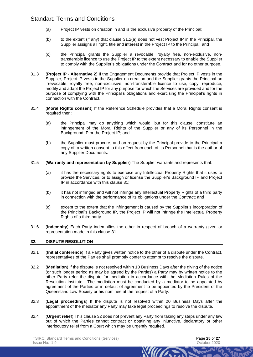- <span id="page-24-0"></span>(a) Project IP vests on creation in and is the exclusive property of the Principal;
- (b) to the extent (if any) that clause [31.2\(a\)](#page-24-0) does not vest Project IP in the Principal, the Supplier assigns all right, title and interest in the Project IP to the Principal; and
- (c) the Principal grants the Supplier a revocable, royalty free, non-exclusive, nontransferable licence to use the Project IP to the extent necessary to enable the Supplier to comply with the Supplier's obligations under the Contract and for no other purpose.
- 31.3 (**Project IP Alternative 2**) If the Engagement Documents provide that Project IP vests in the Supplier, Project IP vests in the Supplier on creation and the Supplier grants the Principal an irrevocable, royalty free, non-exclusive, non-transferable licence to use, copy, reproduce, modify and adapt the Project IP for any purpose for which the Services are provided and for the purpose of complying with the Principal's obligations and exercising the Principal's rights in connection with the Contract.
- 31.4 (**Moral Rights consent**) If the Reference Schedule provides that a Moral Rights consent is required then:
	- (a) the Principal may do anything which would, but for this clause, constitute an infringement of the Moral Rights of the Supplier or any of its Personnel in the Background IP or the Project IP; and
	- (b) the Supplier must procure, and on request by the Principal provide to the Principal a copy of, a written consent to this effect from each of its Personnel that is the author of any Supplier Documents.
- 31.5 (**Warranty and representation by Supplier**) The Supplier warrants and represents that:
	- (a) it has the necessary rights to exercise any Intellectual Property Rights that it uses to provide the Services, or to assign or license the Supplier's Background IP and Project IP in accordance with this clause [31;](#page-23-2)
	- (b) it has not infringed and will not infringe any Intellectual Property Rights of a third party in connection with the performance of its obligations under the Contract; and
	- (c) except to the extent that the infringement is caused by the Supplier's incorporation of the Principal's Background IP, the Project IP will not infringe the Intellectual Property Rights of a third party.
- 31.6 (**Indemnity**) Each Party indemnifies the other in respect of breach of a warranty given or representation made in this clause [31.](#page-23-2)

#### <span id="page-24-1"></span>**32. DISPUTE RESOLUTION**

- 32.1 (**Initial conference**) If a Party gives written notice to the other of a dispute under the Contract, representatives of the Parties shall promptly confer to attempt to resolve the dispute.
- 32.2 (**Mediation**) If the dispute is not resolved within 10 Business Days after the giving of the notice (or such longer period as may be agreed by the Parties) a Party may by written notice to the other Party refer the dispute for mediation in accordance with the Mediation Rules of the Resolution Institute. The mediation must be conducted by a mediator to be appointed by agreement of the Parties or in default of agreement to be appointed by the President of the Queensland Law Society or his nominee at the request of a Party.
- 32.3 (**Legal proceedings**) If the dispute is not resolved within 20 Business Days after the appointment of the mediator any Party may take legal proceedings to resolve the dispute.
- 32.4 (**Urgent relief**) This clause [32](#page-24-1) does not prevent any Party from taking any steps under any law out of which the Parties cannot contract or obtaining any injunctive, declaratory or other interlocutory relief from a Court which may be urgently required.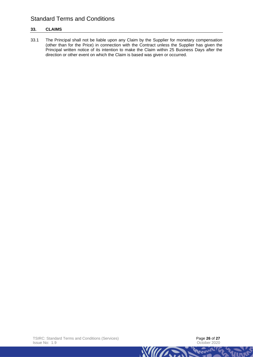## <span id="page-25-0"></span>**33. CLAIMS**

33.1 The Principal shall not be liable upon any Claim by the Supplier for monetary compensation (other than for the Price) in connection with the Contract unless the Supplier has given the Principal written notice of its intention to make the Claim within 25 Business Days after the direction or other event on which the Claim is based was given or occurred.

**Engra**